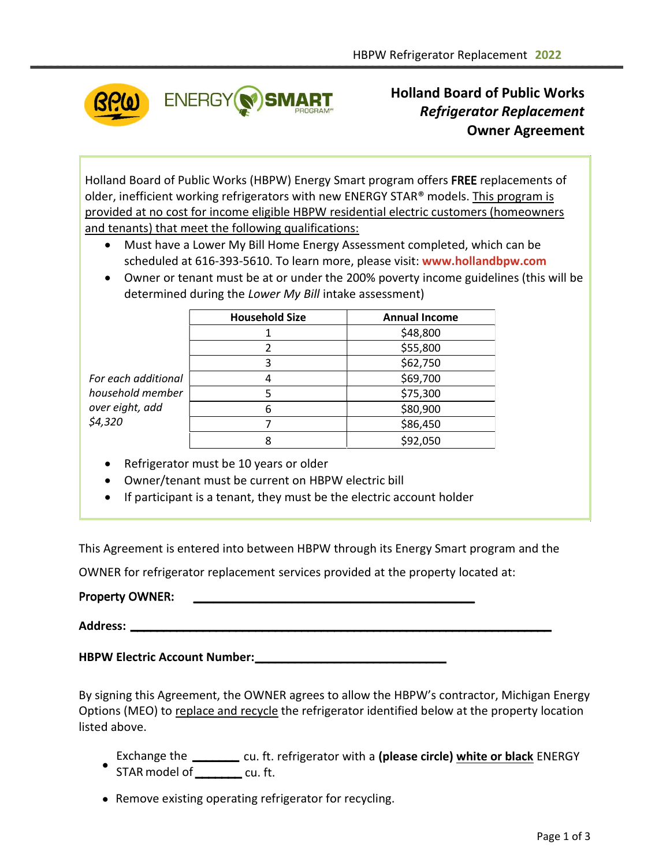

Holland Board of Public Works Refrigerator Replacement Owner Agreement

Holland Board of Public Works (HBPW) Energy Smart program offers FREE replacements of older, inefficient working refrigerators with new ENERGY STAR® models. This program is provided at no cost for income eligible HBPW residential electric customers (homeowners and tenants) that meet the following qualifications:

- Must have a Lower My Bill Home Energy Assessment completed, which can be scheduled at 616-393-5610. To learn more, please visit: **[www.hollandbpw.com](https://hollandbpw.com/en/customer-service/residential/residential-programs/14-category-en-gb/39-free-home-energy-check-up)**
- Owner or tenant must be at or under the 200% poverty income guidelines (this will be determined during the Lower My Bill intake assessment)

|                     | <b>Household Size</b> | <b>Annual Income</b> |
|---------------------|-----------------------|----------------------|
|                     |                       | \$48,800             |
|                     |                       | \$55,800             |
|                     | 3                     | \$62,750             |
| For each additional |                       | \$69,700             |
| household member    |                       | \$75,300             |
| over eight, add     | h                     | \$80,900             |
| \$4,320             |                       | \$86,450             |
|                     |                       | \$92,050             |

- Refrigerator must be 10 years or older
- Owner/tenant must be current on HBPW electric bill
- If participant is a tenant, they must be the electric account holder

This Agreement is entered into between HBPW through its Energy Smart program and the

OWNER for refrigerator replacement services provided at the property located at:

## Property OWNER:

**Address:**

**HBPW Electric Account Number:** \_\_\_\_\_\_\_\_\_\_\_\_\_\_\_\_\_\_\_\_\_\_\_\_\_\_\_\_\_

By signing this Agreement, the OWNER agrees to allow the HBPW's contractor, Michigan Energy Options (MEO) to replace and recycle the refrigerator identified below at the property location listed above.

\_\_\_\_\_\_\_\_\_\_\_\_\_\_\_\_\_\_\_\_\_\_\_\_\_\_\_\_\_\_\_\_\_\_\_\_\_\_\_\_\_\_\_\_\_\_\_\_\_\_\_\_\_\_\_\_\_\_\_\_\_\_\_\_

- $\bullet$ Exchange the \_\_\_\_\_\_\_ cu. ft. refrigerator with a (please circle) white or black ENERGY STAR model of \_\_\_\_\_\_\_\_\_ cu. ft.
- Remove existing operating refrigerator for recycling.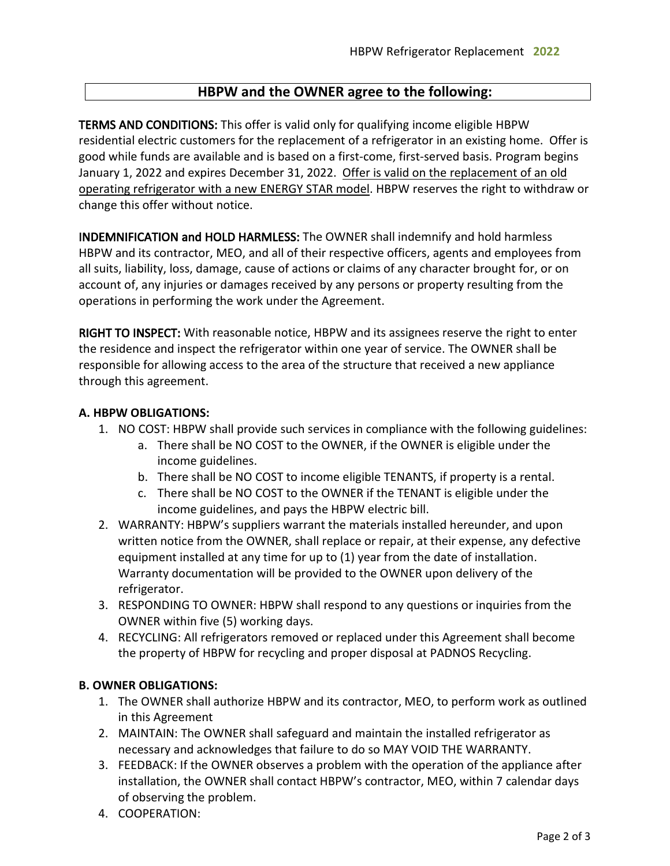# HBPW and the OWNER agree to the following:

TERMS AND CONDITIONS: This offer is valid only for qualifying income eligible HBPW residential electric customers for the replacement of a refrigerator in an existing home. Offer is good while funds are available and is based on a first-come, first-served basis. Program begins January 1, 2022 and expires December 31, 2022. Offer is valid on the replacement of an old operating refrigerator with a new ENERGY STAR model. HBPW reserves the right to withdraw or change this offer without notice.

INDEMNIFICATION and HOLD HARMLESS: The OWNER shall indemnify and hold harmless HBPW and its contractor, MEO, and all of their respective officers, agents and employees from all suits, liability, loss, damage, cause of actions or claims of any character brought for, or on account of, any injuries or damages received by any persons or property resulting from the operations in performing the work under the Agreement.

RIGHT TO INSPECT: With reasonable notice, HBPW and its assignees reserve the right to enter the residence and inspect the refrigerator within one year of service. The OWNER shall be responsible for allowing access to the area of the structure that received a new appliance through this agreement.

## A. HBPW OBLIGATIONS:

- 1. NO COST: HBPW shall provide such services in compliance with the following guidelines:
	- a. There shall be NO COST to the OWNER, if the OWNER is eligible under the income guidelines.
	- b. There shall be NO COST to income eligible TENANTS, if property is a rental.
	- c. There shall be NO COST to the OWNER if the TENANT is eligible under the income guidelines, and pays the HBPW electric bill.
- 2. WARRANTY: HBPW's suppliers warrant the materials installed hereunder, and upon written notice from the OWNER, shall replace or repair, at their expense, any defective equipment installed at any time for up to (1) year from the date of installation. Warranty documentation will be provided to the OWNER upon delivery of the refrigerator.
- 3. RESPONDING TO OWNER: HBPW shall respond to any questions or inquiries from the OWNER within five (5) working days.
- 4. RECYCLING: All refrigerators removed or replaced under this Agreement shall become the property of HBPW for recycling and proper disposal at PADNOS Recycling.

## B. OWNER OBLIGATIONS:

- 1. The OWNER shall authorize HBPW and its contractor, MEO, to perform work as outlined in this Agreement
- 2. MAINTAIN: The OWNER shall safeguard and maintain the installed refrigerator as necessary and acknowledges that failure to do so MAY VOID THE WARRANTY.
- 3. FEEDBACK: If the OWNER observes a problem with the operation of the appliance after installation, the OWNER shall contact HBPW's contractor, MEO, within 7 calendar days of observing the problem.
- 4. COOPERATION: